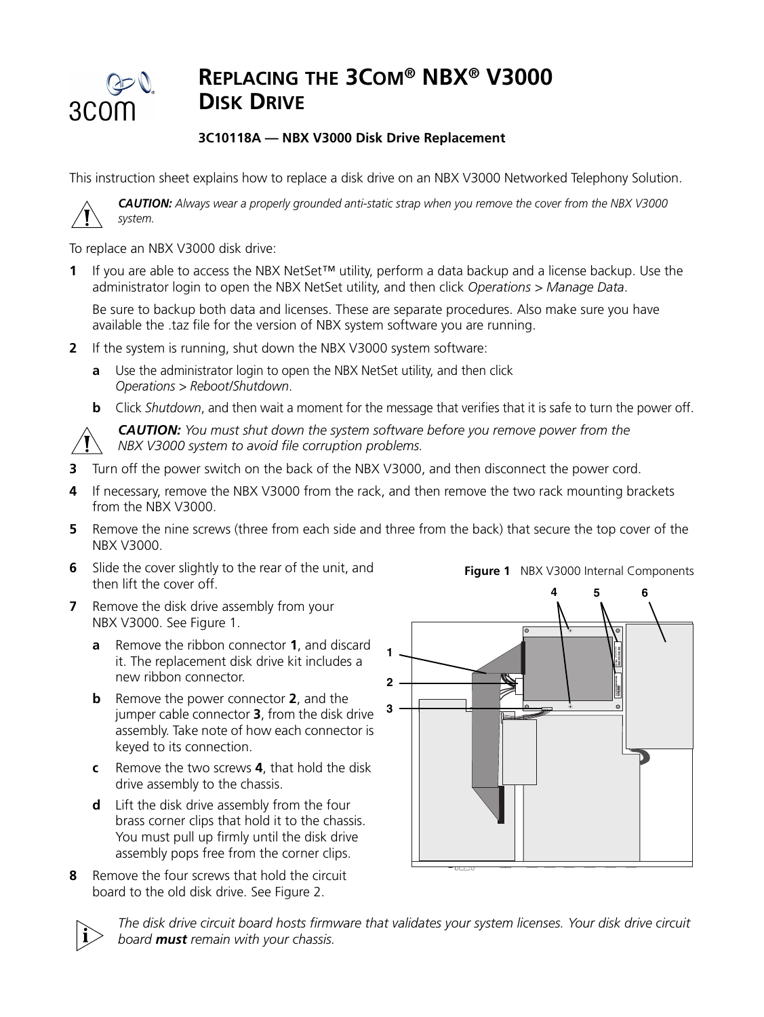

## **REPLACING THE 3COM® NBX® V3000 DISK DRIVE**

## **3C10118A — NBX V3000 Disk Drive Replacement**

This instruction sheet explains how to replace a disk drive on an NBX V3000 Networked Telephony Solution.

*CAUTION: Always wear a properly grounded anti-static strap when you remove the cover from the NBX V3000 system.*

To replace an NBX V3000 disk drive:

**1** If you are able to access the NBX NetSet™ utility, perform a data backup and a license backup. Use the administrator login to open the NBX NetSet utility, and then click *Operations > Manage Data*.

Be sure to backup both data and licenses. These are separate procedures. Also make sure you have available the .taz file for the version of NBX system software you are running.

- **2** If the system is running, shut down the NBX V3000 system software:
	- **a** Use the administrator login to open the NBX NetSet utility, and then click *Operations > Reboot/Shutdown*.
	- **b** Click *Shutdown*, and then wait a moment for the message that verifies that it is safe to turn the power off.



*CAUTION: You must shut down the system software before you remove power from the NBX V3000 system to avoid file corruption problems.* 

- **3** Turn off the power switch on the back of the NBX V3000, and then disconnect the power cord.
- **4** If necessary, remove the NBX V3000 from the rack, and then remove the two rack mounting brackets from the NBX V3000.
- **5** Remove the nine screws (three from each side and three from the back) that secure the top cover of the NBX V3000.
- **6** Slide the cover slightly to the rear of the unit, and then lift the cover off.
- **7** Remove the disk drive assembly from your NBX V3000. See Figure 1.
	- **a** Remove the ribbon connector **1**, and discard it. The replacement disk drive kit includes a new ribbon connector.
	- **b** Remove the power connector **2**, and the jumper cable connector **3**, from the disk drive assembly. Take note of how each connector is keyed to its connection.
	- **c** Remove the two screws **4**, that hold the disk drive assembly to the chassis.
	- **d** Lift the disk drive assembly from the four brass corner clips that hold it to the chassis. You must pull up firmly until the disk drive assembly pops free from the corner clips.
- **8** Remove the four screws that hold the circuit board to the old disk drive. See Figure 2.





*The disk drive circuit board hosts firmware that validates your system licenses. Your disk drive circuit board must remain with your chassis.*